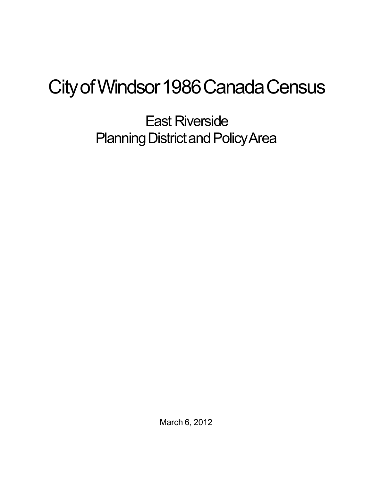## City of Windsor 1986 Canada Census

East Riverside Planning District and Policy Area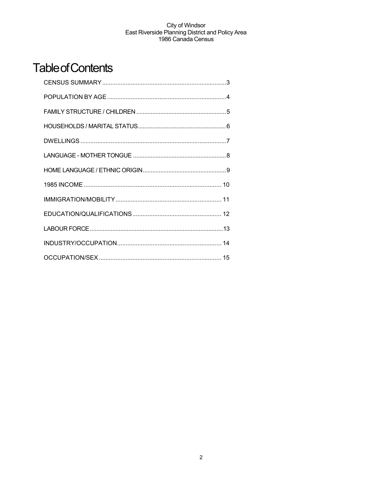## **Table of Contents**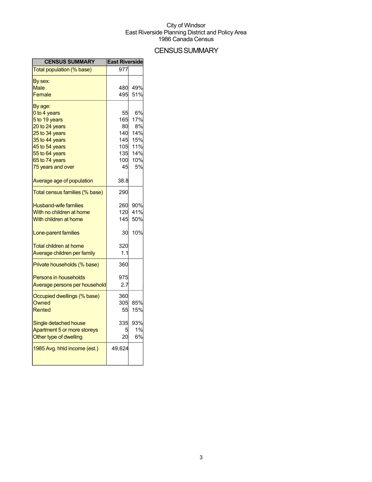## **CENSUS SUMMARY**

| <b>CENSUS SUMMARY</b>          | <b>East Riverside</b> |     |
|--------------------------------|-----------------------|-----|
| Total population (% base)      | 977                   |     |
| By sex:                        |                       |     |
| Male                           | 480                   | 49% |
| Female                         | 495                   | 51% |
| By age:                        |                       |     |
| 0 to 4 years                   | 55                    | 6%  |
| 5 to 19 years                  | 165                   | 17% |
| 20 to 24 years                 | 80                    | 8%  |
| 25 to 34 years                 | 140                   | 14% |
| 35 to 44 years                 | 145                   | 15% |
| 45 to 54 years                 | 105                   | 11% |
| 55 to 64 years                 | 135                   | 14% |
| 65 to 74 years                 | 100                   | 10% |
| 75 years and over              | 45                    | 5%  |
| Average age of population      | 38.8                  |     |
| Total census families (% base) | 290                   |     |
| <b>Husband-wife families</b>   | 260                   | 90% |
| With no children at home       | 120                   | 41% |
| With children at home          | 145                   | 50% |
| Lone-parent families           | 30                    | 10% |
| <b>Total children at home</b>  | 320                   |     |
| Average children per family    | 1.1                   |     |
| Private households (% base)    | 360                   |     |
| <b>Persons in households</b>   | 975                   |     |
| Average persons per household  | 2.7                   |     |
| Occupied dwellings (% base)    | 360                   |     |
| Owned                          | 305                   | 85% |
| Rented                         | 55                    | 15% |
| Single detached house          | 335                   | 93% |
| Apartment 5 or more storeys    |                       | 1%  |
| Other type of dwelling         | 20                    | 6%  |
| 1985 Avg. hhld income (est.)   | 49,624                |     |
|                                |                       |     |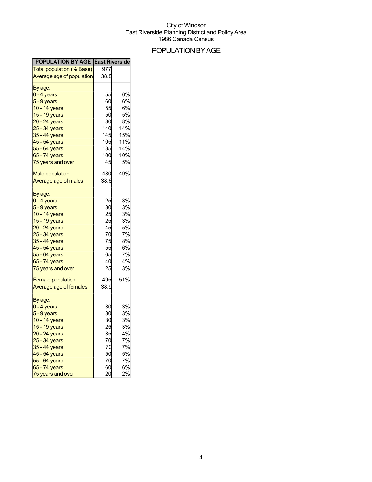## POPULATIONBYAGE

| <b>POPULATION BY AGE East Riverside</b> |      |           |
|-----------------------------------------|------|-----------|
| Total population (% Base)               | 977  |           |
| Average age of population               | 38.8 |           |
| By age:                                 |      |           |
| 0 - 4 years                             | 55   | 6%        |
| 5 - 9 years                             | 60   | 6%        |
| 10 - 14 years                           | 55   | 6%        |
| 15 - 19 years                           | 50   | 5%        |
| 20 - 24 years                           | 80   | 8%        |
| 25 - 34 years                           | 140  | 14%       |
| 35 - 44 years                           | 145  | 15%       |
| 45 - 54 years                           | 105  | 11%       |
| 55 - 64 years                           | 135  | 14%       |
| 65 - 74 years                           | 100  | 10%       |
| 75 years and over                       | 45   | 5%        |
|                                         |      |           |
| <b>Male population</b>                  | 480  | 49%       |
| Average age of males                    | 38.6 |           |
| By age:                                 |      |           |
| 0 - 4 years                             | 25   | 3%        |
| $5 - 9$ years                           | 30   | 3%        |
| 10 - 14 years                           | 25   | 3%        |
| 15 - 19 years                           | 25   | 3%        |
| 20 - 24 years                           | 45   | <b>5%</b> |
| 25 - 34 years                           | 70   | 7%        |
| 35 - 44 years                           | 75   | 8%        |
| 45 - 54 years                           | 55   | 6%        |
| 55 - 64 years                           | 65   | 7%        |
| 65 - 74 years                           | 40   | 4%        |
| 75 years and over                       | 25   | 3%        |
| <b>Female population</b>                | 495  | 51%       |
| Average age of females                  | 38.9 |           |
| By age:                                 |      |           |
| $0 - 4$ years                           | 30   | 3%        |
| 5 - 9 years                             | 30   | 3%        |
| 10 - 14 years                           | 30   | 3%        |
| 15 - 19 years                           | 25   | 3%        |
| 20 - 24 years                           | 35   | 4%        |
| 25 - 34 years                           | 70   | 7%        |
| 35 - 44 years                           | 70   | 7%        |
| 45 - 54 years                           | 50   | 5%        |
| 55 - 64 years                           | 70   | 7%        |
| 65 - 74 years                           | 60   | 6%        |
| 75 years and over                       | 20   | 2%        |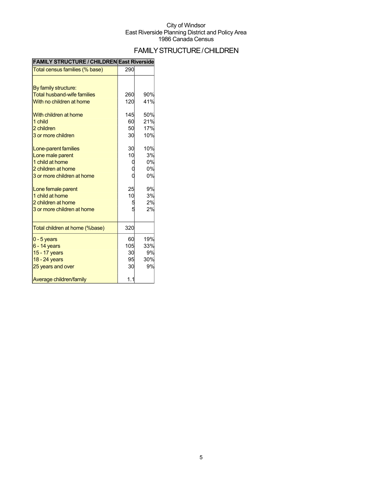## FAMILYSTRUCTURE/CHILDREN

| Total census families (% base)     | 290 |     |
|------------------------------------|-----|-----|
|                                    |     |     |
| By family structure:               |     |     |
| <b>Total husband-wife families</b> | 260 | 90% |
| With no children at home           | 120 | 41% |
| With children at home              | 145 | 50% |
| 1 child                            | 60  | 21% |
| 2 children                         | 50  | 17% |
| 3 or more children                 | 30  | 10% |
|                                    |     |     |
| Lone-parent families               | 30  | 10% |
| Lone male parent                   | 10  | 3%  |
| 1 child at home                    |     | 0%  |
| 2 children at home                 |     | 0%  |
| 3 or more children at home         |     | 0%  |
| Lone female parent                 | 25  | 9%  |
| 1 child at home                    | 10  | 3%  |
| 2 children at home                 |     | 2%  |
| 3 or more children at home         | Ë   | 2%  |
|                                    |     |     |
| Total children at home (%base)     | 320 |     |
| $0 - 5$ years                      | 60  | 19% |
| $6 - 14$ years                     | 105 | 33% |
| 15 - 17 years                      | 30  | 9%  |
| 18 - 24 years                      | 95  | 30% |
| 25 years and over                  | 30  | 9%  |
| Average children/family            | 1.1 |     |

#### **FAMILY STRUCTURE / CHILDREN East Riverside**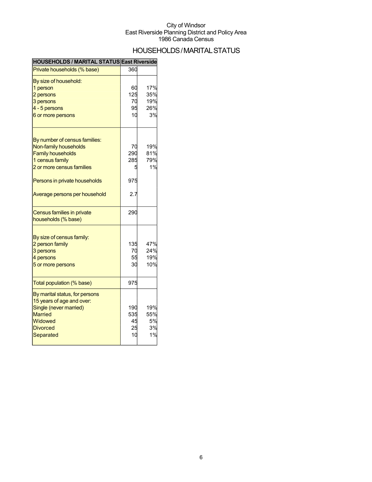## HOUSEHOLDS/MARITALSTATUS

| HOUSEHOLDS / MARITAL STATUS East Riverside                                                                                                         |                              |                                |
|----------------------------------------------------------------------------------------------------------------------------------------------------|------------------------------|--------------------------------|
| Private households (% base)                                                                                                                        | 360                          |                                |
| By size of household:<br>1 person<br>2 persons<br>3 persons<br>4 - 5 persons<br>6 or more persons                                                  | 60<br>125<br>70<br>95<br>10  | 17%<br>35%<br>19%<br>26%<br>3% |
| By number of census families:<br>Non-family households<br><b>Family households</b><br>1 census family<br>2 or more census families                 | 70<br>290<br>285<br>5        | 19%<br>81%<br>79%<br>1%        |
| Persons in private households<br>Average persons per household                                                                                     | 975<br>2.7                   |                                |
| <b>Census families in private</b><br>households (% base)                                                                                           | 290                          |                                |
| By size of census family:<br>2 person family<br>3 persons<br>4 persons<br>5 or more persons                                                        | 135<br>70<br>55<br>30        | 47%<br>24%<br>19%<br>10%       |
| Total population (% base)                                                                                                                          | 975                          |                                |
| By marital status, for persons<br>15 years of age and over:<br>Single (never married)<br><b>Married</b><br>Widowed<br><b>Divorced</b><br>Separated | 190<br>535<br>45<br>25<br>10 | 19%<br>55%<br>5%<br>3%<br>1%   |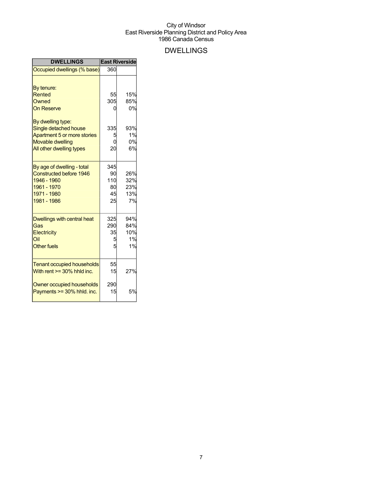## DWELLINGS

| <b>DWELLINGS</b>                                                                                                                                                                       |                                       | <b>East Riverside</b>                     |
|----------------------------------------------------------------------------------------------------------------------------------------------------------------------------------------|---------------------------------------|-------------------------------------------|
| Occupied dwellings (% base)                                                                                                                                                            | 360                                   |                                           |
| By tenure:<br>Rented<br>Owned<br><b>On Reserve</b><br>By dwelling type:<br>Single detached house<br>Apartment 5 or more stories<br><b>Movable dwelling</b><br>All other dwelling types | 55<br>305<br>ი<br>335<br>5<br>0<br>20 | 15%<br>85%<br>0%<br>93%<br>1%<br>0%<br>6% |
| By age of dwelling - total<br><b>Constructed before 1946</b><br>1946 - 1960<br>1961 - 1970<br>1971 - 1980<br>1981 - 1986                                                               | 345<br>90<br>110<br>80<br>45<br>25    | 26%<br>32%<br>23%<br>13%<br>7%            |
| <b>Dwellings with central heat</b><br>Gas<br>Electricity<br>Oil<br><b>Other fuels</b>                                                                                                  | 325<br>290<br>35<br>5<br>5            | 94%<br>84%<br>10%<br>1%<br>1%             |
| <b>Tenant occupied households</b><br>With rent $>=$ 30% hhld inc.<br>Owner occupied households<br>Payments >= 30% hhld. inc.                                                           | 55<br>15<br>290<br>15                 | 27%<br>5%                                 |
|                                                                                                                                                                                        |                                       |                                           |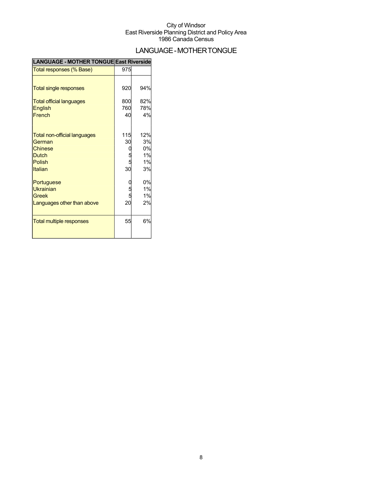## LANGUAGE-MOTHERTONGUE

| <b>LANGUAGE - MOTHER TONGUE East Riverside</b> |        |     |
|------------------------------------------------|--------|-----|
| Total responses (% Base)                       | 975    |     |
|                                                |        |     |
| <b>Total single responses</b>                  | 920    | 94% |
| <b>Total official languages</b>                | 800    | 82% |
| English                                        | 760    | 78% |
| French                                         | 40     | 4%  |
| Total non-official languages                   | 115    | 12% |
| German                                         | 30     | 3%  |
| Chinese                                        |        | 0%  |
| <b>Dutch</b>                                   |        | 1%  |
| Polish                                         | 5<br>5 | 1%  |
| Italian                                        | 30     | 3%  |
| Portuguese                                     |        | 0%  |
| <b>Ukrainian</b>                               |        | 1%  |
| Greek                                          |        | 1%  |
| Languages other than above                     | 20     | 2%  |
| <b>Total multiple responses</b>                | 55     | 6%  |
|                                                |        |     |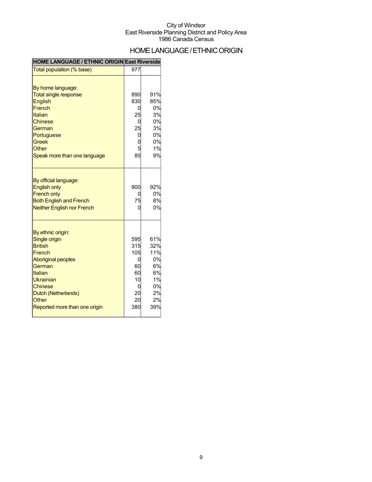## HOME LANGUAGE / ETHNIC ORIGIN

### **HOME LANGUAGE / ETHNIC ORIGIN East Riverside**

| Total population (% base)                                                                                                                                                                                               | 977                                                              |                                                                    |
|-------------------------------------------------------------------------------------------------------------------------------------------------------------------------------------------------------------------------|------------------------------------------------------------------|--------------------------------------------------------------------|
| By home language:<br><b>Total single response</b><br><b>English</b><br>French<br>Italian<br><b>Chinese</b><br>German<br>Portuguese<br><b>Greek</b><br>Other<br>Speak more than one language                             | 890<br>830<br>0<br>25<br>0<br>25<br>0<br>0<br>85                 | 91%<br>85%<br>0%<br>3%<br>0%<br>3%<br>0%<br>0%<br>1%<br>9%         |
| By official language:<br><b>English only</b><br><b>French only</b><br><b>Both English and French</b><br><b>Neither English nor French</b>                                                                               | 900<br>0<br>75<br>0                                              | 92%<br>0%<br>8%<br>0%                                              |
| By ethnic origin:<br>Single origin<br><b>British</b><br>French<br><b>Aboriginal peoples</b><br>German<br>Italian<br>Ukrainian<br><b>Chinese</b><br>Dutch (Netherlands)<br><b>Other</b><br>Reported more than one origin | 595<br>315<br>105<br>0<br>60<br>60<br>10<br>0<br>20<br>20<br>380 | 61%<br>32%<br>11%<br>0%<br>6%<br>6%<br>1%<br>0%<br>2%<br>2%<br>39% |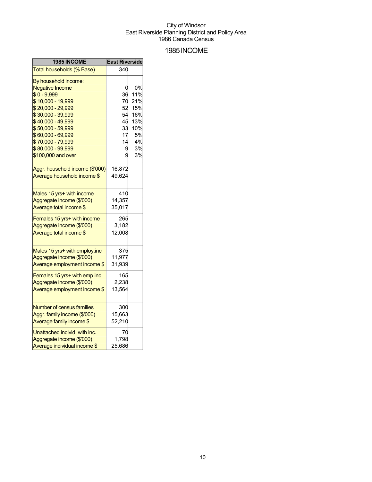### 1985INCOME

| <b>1985 INCOME</b>              | <b>East Riverside</b> |     |
|---------------------------------|-----------------------|-----|
| Total households (% Base)       | 340                   |     |
| By household income:            |                       |     |
| <b>Negative Income</b>          | 0                     | 0%  |
| $$0 - 9,999$                    | 36                    | 11% |
| \$10,000 - 19,999               | 70                    | 21% |
| \$20,000 - 29,999               | 52                    | 15% |
| \$30,000 - 39,999               | 54                    | 16% |
| \$40,000 - 49,999               | 45                    | 13% |
| \$50,000 - 59,999               | 33                    | 10% |
| \$60,000 - 69,999               | 17                    | 5%  |
| \$70,000 - 79,999               | 14                    | 4%  |
| \$80,000 - 99,999               | 9                     | 3%  |
| \$100,000 and over              | g                     | 3%  |
| Aggr. household income (\$'000) | 16,872                |     |
| Average household income \$     | 49,624                |     |
| Males 15 yrs+ with income       | 410                   |     |
| Aggregate income (\$'000)       | 14,357                |     |
| Average total income \$         | 35,017                |     |
| Females 15 yrs+ with income     | 265                   |     |
| Aggregate income (\$'000)       | 3,182                 |     |
| Average total income \$         | 12,008                |     |
| Males 15 yrs+ with employ.inc   | 375                   |     |
| Aggregate income (\$'000)       | 11,977                |     |
| Average employment income \$    | 31,939                |     |
|                                 |                       |     |
| Females 15 yrs+ with emp.inc.   | 165                   |     |
| Aggregate income (\$'000)       | 2,238                 |     |
| Average employment income \$    | 13,564                |     |
| Number of census families       | 300                   |     |
| Aggr. family income (\$'000)    | 15,663                |     |
| Average family income \$        | 52,210                |     |
| Unattached individ. with inc.   | 70                    |     |
| Aggregate income (\$'000)       | 1,798                 |     |
| Average individual income \$    | 25,686                |     |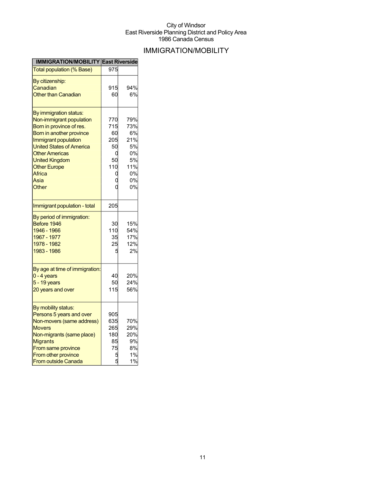## IMMIGRATION/MOBILITY

| <b>IMMIGRATION/MOBILITY East Riverside</b> |     |     |
|--------------------------------------------|-----|-----|
| <b>Total population (% Base)</b>           | 975 |     |
| By citizenship:                            |     |     |
| Canadian                                   | 915 | 94% |
| <b>Other than Canadian</b>                 | 60  | 6%  |
|                                            |     |     |
| By immigration status:                     |     |     |
| Non-immigrant population                   | 770 | 79% |
| Born in province of res.                   | 715 | 73% |
| Born in another province                   | 60  | 6%  |
| Immigrant population                       | 205 | 21% |
| <b>United States of America</b>            | 50  | 5%  |
| <b>Other Americas</b>                      | 0   | 0%  |
| <b>United Kingdom</b>                      | 50  | 5%  |
| <b>Other Europe</b>                        | 110 | 11% |
| Africa                                     | C   | 0%  |
| Asia                                       |     | 0%  |
| Other                                      |     | 0%  |
|                                            |     |     |
| Immigrant population - total               | 205 |     |
| By period of immigration:                  |     |     |
| Before 1946                                | 30  | 15% |
| 1946 - 1966                                | 110 | 54% |
| 1967 - 1977                                | 35  | 17% |
| 1978 - 1982                                | 25  | 12% |
| 1983 - 1986                                | F   | 2%  |
|                                            |     |     |
| By age at time of immigration:             |     |     |
| 0 - 4 years                                | 40  | 20% |
| $5 - 19$ years                             | 50  | 24% |
| 20 years and over                          | 115 | 56% |
|                                            |     |     |
| By mobility status:                        |     |     |
| Persons 5 years and over                   | 905 |     |
| Non-movers (same address)                  | 635 | 70% |
| <b>Movers</b>                              | 265 | 29% |
| Non-migrants (same place)                  | 180 | 20% |
| <b>Migrants</b>                            | 85  | 9%  |
| From same province                         | 75  | 8%  |
| From other province                        | 5   | 1%  |
| <b>From outside Canada</b>                 | 5   | 1%  |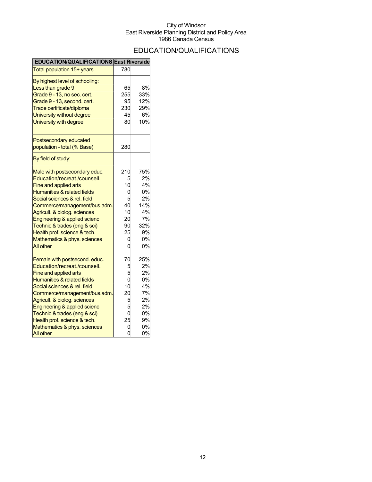## EDUCATION/QUALIFICATIONS

| <b>EDUCATION/QUALIFICATIONS East Riverside</b>                                                                                                                                                                                                                                                                                                                                           |                                              |                                                                         |
|------------------------------------------------------------------------------------------------------------------------------------------------------------------------------------------------------------------------------------------------------------------------------------------------------------------------------------------------------------------------------------------|----------------------------------------------|-------------------------------------------------------------------------|
| Total population 15+ years                                                                                                                                                                                                                                                                                                                                                               | 780                                          |                                                                         |
| By highest level of schooling:<br>Less than grade 9<br>Grade 9 - 13, no sec. cert.<br>Grade 9 - 13, second. cert.<br>Trade certificate/diploma<br>University without degree<br>University with degree                                                                                                                                                                                    | 65<br>255<br>95<br>230<br>45<br>80           | 8%<br>33%<br>12%<br>29%<br>6%<br>10%                                    |
| Postsecondary educated<br>population - total (% Base)                                                                                                                                                                                                                                                                                                                                    | 280                                          |                                                                         |
| By field of study:<br>Male with postsecondary educ.<br>Education/recreat./counsell.<br>Fine and applied arts<br>Humanities & related fields<br>Social sciences & rel. field<br>Commerce/management/bus.adm.<br>Agricult. & biolog. sciences<br>Engineering & applied scienc<br>Technic.& trades (eng & sci)<br>Health prof. science & tech.<br>Mathematics & phys. sciences<br>All other | 210<br>10<br>40<br>10<br>20<br>90<br>25<br>C | 75%<br>2%<br>4%<br>0%<br>2%<br>14%<br>4%<br>7%<br>32%<br>9%<br>0%<br>0% |
| Female with postsecond. educ.<br>Education/recreat./counsell.<br>Fine and applied arts<br>Humanities & related fields<br>Social sciences & rel. field<br>Commerce/management/bus.adm.<br>Agricult. & biolog. sciences<br>Engineering & applied scienc<br>Technic.& trades (eng & sci)<br>Health prof. science & tech.<br>Mathematics & phys. sciences<br>All other                       | 70<br>0<br>10<br>20<br>5<br>25               | 25%<br>2%<br>2%<br>0%<br>4%<br>7%<br>2%<br>2%<br>0%<br>9%<br>0%<br>0%   |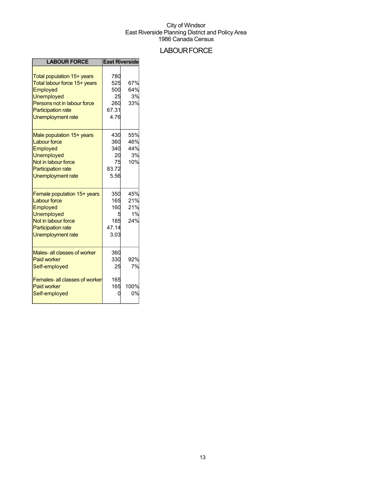## **LABOUR FORCE**

| <b>LABOUR FORCE</b>                                                                                                                                                   |                                                 | <b>East Riverside</b>          |
|-----------------------------------------------------------------------------------------------------------------------------------------------------------------------|-------------------------------------------------|--------------------------------|
| Total population 15+ years<br>Total labour force 15+ years<br>Employed<br>Unemployed<br>Persons not in labour force<br><b>Participation rate</b><br>Unemployment rate | 780<br>525<br>500<br>25<br>260<br>67.31<br>4.76 | 67%<br>64%<br>3%<br>33%        |
| Male population 15+ years<br><b>Labour force</b><br>Employed<br>Unemployed<br>Not in labour force<br><b>Participation rate</b><br>Unemployment rate                   | 430<br>360<br>340<br>20<br>75<br>83.72<br>5.56  | 55%<br>46%<br>44%<br>3%<br>10% |
| Female population 15+ years<br><b>Labour force</b><br>Employed<br>Unemployed<br>Not in labour force<br><b>Participation rate</b><br>Unemployment rate                 | 350<br>165<br>160<br>185<br>47.14<br>3.03       | 45%<br>21%<br>21%<br>1%<br>24% |
| Males- all classes of worker<br><b>Paid worker</b><br>Self-employed                                                                                                   | 360<br>330<br>25                                | 92%<br>7%                      |
| <b>Females-all classes of worker</b><br><b>Paid worker</b><br>Self-employed                                                                                           | 165<br>165                                      | 100%<br>0%                     |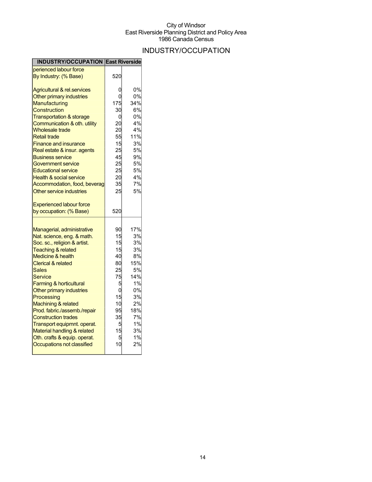## INDUSTRY/OCCUPATION

| <b>INDUSTRY/OCCUPATION East Riverside</b> |     |     |
|-------------------------------------------|-----|-----|
| perienced labour force                    |     |     |
| By Industry: (% Base)                     | 520 |     |
| <b>Agricultural &amp; rel.services</b>    | 0   | 0%  |
| Other primary industries                  | N   | 0%  |
| Manufacturing                             | 175 | 34% |
| Construction                              | 30  | 6%  |
| <b>Transportation &amp; storage</b>       | 0   | 0%  |
| Communication & oth. utility              | 20  | 4%  |
| <b>Wholesale trade</b>                    | 20  | 4%  |
| <b>Retail trade</b>                       | 55  | 11% |
| <b>Finance and insurance</b>              | 15  | 3%  |
| Real estate & insur. agents               | 25  | 5%  |
| <b>Business service</b>                   | 45  | 9%  |
| Government service                        | 25  | 5%  |
| <b>Educational service</b>                | 25  | 5%  |
| <b>Health &amp; social service</b>        | 20  | 4%  |
| Accommodation, food, beverag              | 35  | 7%  |
| Other service industries                  | 25  | 5%  |
|                                           |     |     |
| <b>Experienced labour force</b>           |     |     |
| by occupation: (% Base)                   | 520 |     |
|                                           |     |     |
| Managerial, administrative                | 90  | 17% |
| Nat. science, eng. & math.                | 15  | 3%  |
| Soc. sc., religion & artist.              | 15  | 3%  |
| <b>Teaching &amp; related</b>             | 15  | 3%  |
| <b>Medicine &amp; health</b>              | 40  | 8%  |
| <b>Clerical &amp; related</b>             | 80  | 15% |
| <b>Sales</b>                              | 25  | 5%  |
| Service                                   | 75  | 14% |
| <b>Farming &amp; horticultural</b>        | 5   | 1%  |
| Other primary industries                  | 0   | 0%  |
| Processing                                | 15  | 3%  |
| Machining & related                       | 10  | 2%  |
| Prod. fabric./assemb./repair              | 95  | 18% |
| <b>Construction trades</b>                | 35  | 7%  |
| Transport equipmnt. operat.               | 5   | 1%  |
| Material handling & related               | 15  | 3%  |
| Oth. crafts & equip. operat.              | 5   | 1%  |
| Occupations not classified                | 10  | 2%  |
|                                           |     |     |